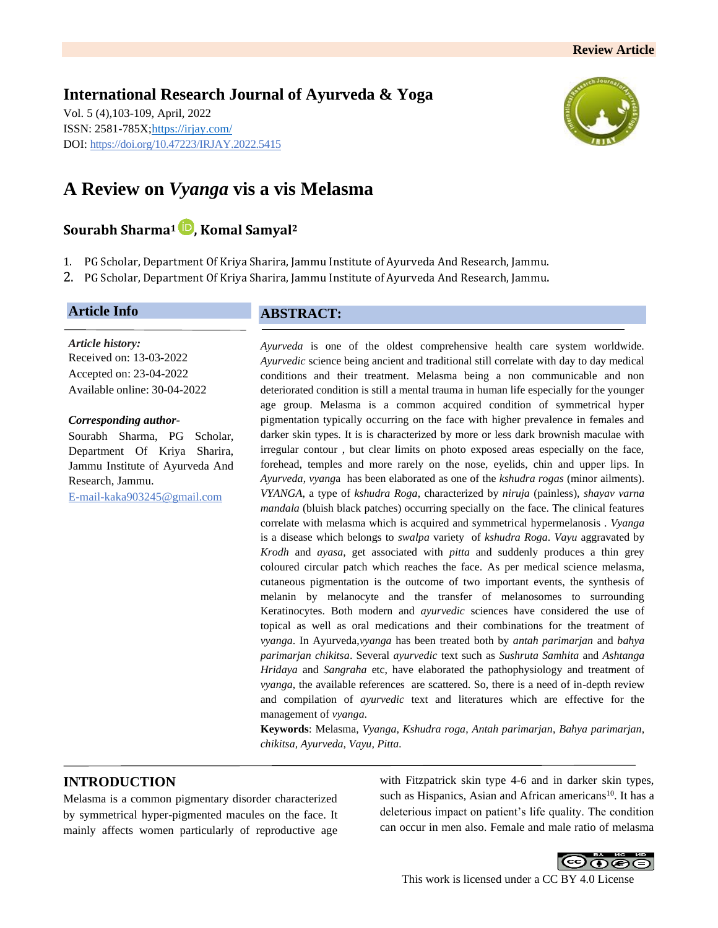**International Research Journal of Ayurveda & Yoga** Vol. 5 (4),103-109, April, 2022 ISSN: 2581-785X[; https://irjay.com/](https://irjay.com/) DOI: https://doi.org/10.47223/IRJAY.2022.5415



# **A Review on** *Vyanga* **vis a vis Melasma**

# **Sourabh Sharma<sup>1</sup> , Komal Samyal<sup>2</sup>**

- 1. PG Scholar, Department Of Kriya Sharira, Jammu Institute of Ayurveda And Research, Jammu.
- 2. PG Scholar, Department Of Kriya Sharira, Jammu Institute of Ayurveda And Research, Jammu.

# **Article Info**

*Article history:* Received on: 13-03-2022 Accepted on: 23-04-2022 Available online: 30-04-2022

#### *Corresponding author-*

Sourabh Sharma, PG Scholar, Department Of Kriya Sharira, Jammu Institute of Ayurveda And Research, Jammu. E-mail-kaka903245@gmail.com

# **ABSTRACT:**

*Ayurveda* is one of the oldest comprehensive health care system worldwide. *Ayurvedic* science being ancient and traditional still correlate with day to day medical conditions and their treatment. Melasma being a non communicable and non deteriorated condition is still a mental trauma in human life especially for the younger age group. Melasma is a common acquired condition of symmetrical hyper pigmentation typically occurring on the face with higher prevalence in females and darker skin types. It is is characterized by more or less dark brownish maculae with irregular contour , but clear limits on photo exposed areas especially on the face, forehead, temples and more rarely on the nose, eyelids, chin and upper lips. In *Ayurveda*, *vyang*a has been elaborated as one of the *kshudra rogas* (minor ailments). *VYANGA*, a type of *kshudra Roga*, characterized by *niruja* (painless), *shayav varna mandala* (bluish black patches) occurring specially on the face. The clinical features correlate with melasma which is acquired and symmetrical hypermelanosis . *Vyanga* is a disease which belongs to *swalpa* variety of *kshudra Roga*. *Vayu* aggravated by *Krodh* and *ayasa*, get associated with *pitta* and suddenly produces a thin grey coloured circular patch which reaches the face. As per medical science melasma, cutaneous pigmentation is the outcome of two important events, the synthesis of melanin by melanocyte and the transfer of melanosomes to surrounding Keratinocytes. Both modern and *ayurvedic* sciences have considered the use of topical as well as oral medications and their combinations for the treatment of *vyanga*. In Ayurveda,*vyanga* has been treated both by *antah parimarjan* and *bahya parimarjan chikitsa*. Several *ayurvedic* text such as *Sushruta Samhita* and *Ashtanga Hridaya* and *Sangraha* etc, have elaborated the pathophysiology and treatment of *vyanga*, the available references are scattered. So, there is a need of in-depth review and compilation of *ayurvedic* text and literatures which are effective for the management of *vyanga*.

**Keywords**: Melasma, *Vyanga*, *Kshudra roga*, *Antah parimarjan*, *Bahya parimarjan*, *chikitsa, Ayurveda, Vayu, Pitta.*

# **INTRODUCTION**

Melasma is a common pigmentary disorder characterized by symmetrical hyper-pigmented macules on the face. It mainly affects women particularly of reproductive age

with Fitzpatrick skin type 4-6 and in darker skin types, such as Hispanics, Asian and African americans<sup>10</sup>. It has a deleterious impact on patient's life quality. The condition can occur in men also. Female and male ratio of melasma

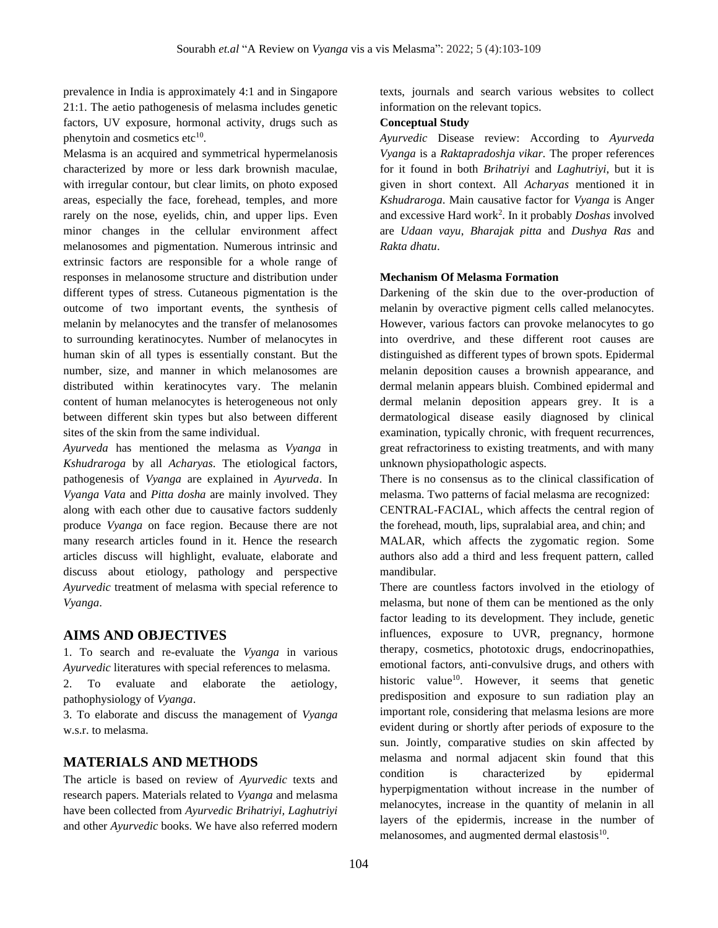prevalence in India is approximately 4:1 and in Singapore 21:1. The aetio pathogenesis of melasma includes genetic factors, UV exposure, hormonal activity, drugs such as phenytoin and cosmetics etc<sup>10</sup>.

Melasma is an acquired and symmetrical hypermelanosis characterized by more or less dark brownish maculae, with irregular contour, but clear limits, on photo exposed areas, especially the face, forehead, temples, and more rarely on the nose, eyelids, chin, and upper lips. Even minor changes in the cellular environment affect melanosomes and pigmentation. Numerous intrinsic and extrinsic factors are responsible for a whole range of responses in melanosome structure and distribution under different types of stress. Cutaneous pigmentation is the outcome of two important events, the synthesis of melanin by melanocytes and the transfer of melanosomes to surrounding keratinocytes. Number of melanocytes in human skin of all types is essentially constant. But the number, size, and manner in which melanosomes are distributed within keratinocytes vary. The melanin content of human melanocytes is heterogeneous not only between different skin types but also between different sites of the skin from the same individual.

*Ayurveda* has mentioned the melasma as *Vyanga* in *Kshudraroga* by all *Acharyas*. The etiological factors, pathogenesis of *Vyanga* are explained in *Ayurveda*. In *Vyanga Vata* and *Pitta dosha* are mainly involved. They along with each other due to causative factors suddenly produce *Vyanga* on face region. Because there are not many research articles found in it. Hence the research articles discuss will highlight, evaluate, elaborate and discuss about etiology, pathology and perspective *Ayurvedic* treatment of melasma with special reference to *Vyanga*.

# **AIMS AND OBJECTIVES**

1. To search and re-evaluate the *Vyanga* in various *Ayurvedic* literatures with special references to melasma.

2. To evaluate and elaborate the aetiology, pathophysiology of *Vyanga*.

3. To elaborate and discuss the management of *Vyanga* w.s.r. to melasma.

# **MATERIALS AND METHODS**

The article is based on review of *Ayurvedic* texts and research papers. Materials related to *Vyanga* and melasma have been collected from *Ayurvedic Brihatriyi, Laghutriyi* and other *Ayurvedic* books. We have also referred modern texts, journals and search various websites to collect information on the relevant topics.

### **Conceptual Study**

*Ayurvedic* Disease review: According to *Ayurveda Vyanga* is a *Raktapradoshja vikar.* The proper references for it found in both *Brihatriyi* and *Laghutriyi*, but it is given in short context. All *Acharyas* mentioned it in *Kshudraroga*. Main causative factor for *Vyanga* is Anger and excessive Hard work<sup>2</sup> . In it probably *Doshas* involved are *Udaan vayu*, *Bharajak pitta* and *Dushya Ras* and *Rakta dhatu*.

### **Mechanism Of Melasma Formation**

Darkening of the skin due to the over-production of melanin by overactive pigment cells called melanocytes. However, various factors can provoke melanocytes to go into overdrive, and these different root causes are distinguished as different types of brown spots. Epidermal melanin deposition causes a brownish appearance, and dermal melanin appears bluish. Combined epidermal and dermal melanin deposition appears grey. It is a dermatological disease easily diagnosed by clinical examination, typically chronic, with frequent recurrences, great refractoriness to existing treatments, and with many unknown physiopathologic aspects.

There is no consensus as to the clinical classification of melasma. Two patterns of facial melasma are recognized: CENTRAL-FACIAL, which affects the central region of the forehead, mouth, lips, supralabial area, and chin; and MALAR, which affects the zygomatic region. Some authors also add a third and less frequent pattern, called mandibular.

There are countless factors involved in the etiology of melasma, but none of them can be mentioned as the only factor leading to its development. They include, genetic influences, exposure to UVR, pregnancy, hormone therapy, cosmetics, phototoxic drugs, endocrinopathies, emotional factors, anti-convulsive drugs, and others with historic value<sup>10</sup>. However, it seems that genetic predisposition and exposure to sun radiation play an important role, considering that melasma lesions are more evident during or shortly after periods of exposure to the sun. Jointly, comparative studies on skin affected by melasma and normal adjacent skin found that this condition is characterized by epidermal hyperpigmentation without increase in the number of melanocytes, increase in the quantity of melanin in all layers of the epidermis, increase in the number of melanosomes, and augmented dermal elastosis<sup>10</sup>.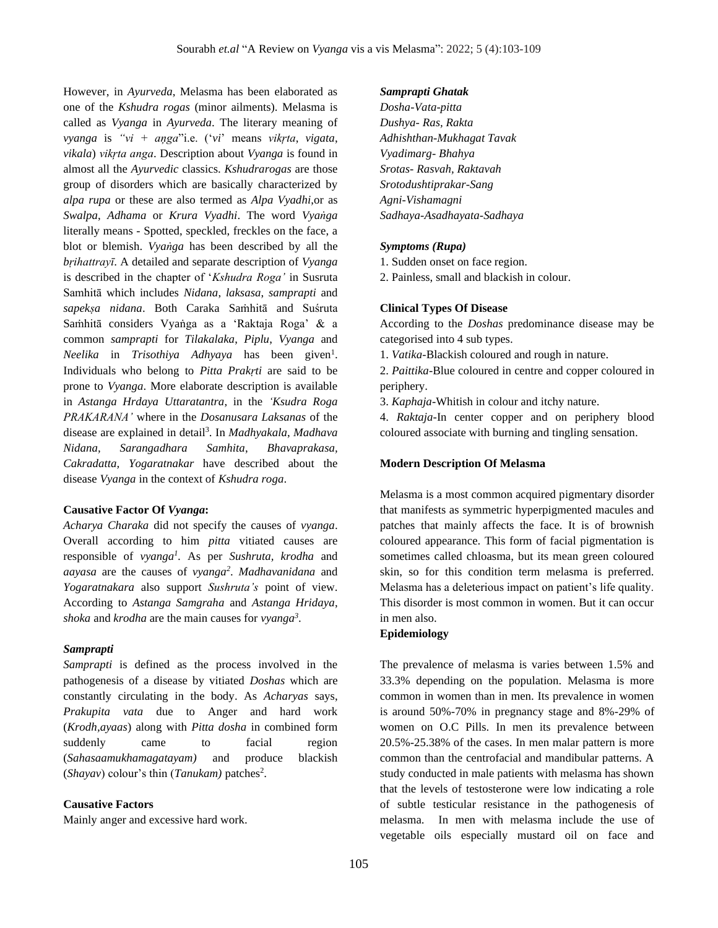However, in *Ayurveda*, Melasma has been elaborated as one of the *Kshudra rogas* (minor ailments). Melasma is called as *Vyanga* in *Ayurveda*. The literary meaning of *vyanga* is *"vi + aņga*"i.e. ('*vi*' means *vikŗta*, *vigata*, *vikala*) *vikŗta anga*. Description about *Vyanga* is found in almost all the *Ayurvedic* classics. *Kshudrarogas* are those group of disorders which are basically characterized by *alpa rupa* or these are also termed as *Alpa Vyadhi*,or as *Swalpa*, *Adhama* or *Krura Vyadhi*. The word *Vyaṅga* literally means - Spotted, speckled, freckles on the face, a blot or blemish. *Vyaṅga* has been described by all the *bṛihattrayī*. A detailed and separate description of *Vyanga* is described in the chapter of '*Kshudra Roga'* in Susruta Samhitā which includes *Nidana*, *laksasa*, *samprapti* and *sapekṣa nidana*. Both Caraka Saṁhitā and Suśruta Saṁhitā considers Vyaṅga as a 'Raktaja Roga' & a common *samprapti* for *Tilakalaka*, *Piplu*, *Vyanga* and Neelika in *Trisothiya Adhyaya* has been given<sup>1</sup>. Individuals who belong to *Pitta Prakṛti* are said to be prone to *Vyanga*. More elaborate description is available in *Astanga Hrdaya Uttaratantra*, in the *'Ksudra Roga PRAKARANA'* where in the *Dosanusara Laksanas* of the disease are explained in detail<sup>3</sup>. In *Madhyakala*, *Madhava Nidana, Sarangadhara Samhita*, *Bhavaprakasa, Cakradatta, Yogaratnakar* have described about the disease *Vyanga* in the context of *Kshudra roga*.

### **Causative Factor Of** *Vyanga***:**

*Acharya Charaka* did not specify the causes of *vyanga*. Overall according to him *pitta* vitiated causes are responsible of *vyanga<sup>1</sup> .* As per *Sushruta, krodha* and *aayasa* are the causes of *vyanga<sup>2</sup>* . *Madhavanidana* and *Yogaratnakara* also support *Sushruta's* point of view. According to *Astanga Samgraha* and *Astanga Hridaya*, *shoka* and *krodha* are the main causes for *vyanga<sup>3</sup>* .

### *Samprapti*

*Samprapti* is defined as the process involved in the pathogenesis of a disease by vitiated *Doshas* which are constantly circulating in the body. As *Acharyas* says, *Prakupita vata* due to Anger and hard work (*Krodh,ayaas*) along with *Pitta dosha* in combined form suddenly came to facial region (*Sahasaamukhamagatayam)* and produce blackish (*Shayav*) colour's thin (*Tanukam*) patches<sup>2</sup>.

### **Causative Factors**

Mainly anger and excessive hard work.

#### *Samprapti Ghatak*

*Dosha-Vata-pitta Dushya- Ras, Rakta Adhishthan-Mukhagat Tavak Vyadimarg- Bhahya Srotas- Rasvah, Raktavah Srotodushtiprakar-Sang Agni-Vishamagni Sadhaya-Asadhayata-Sadhaya*

#### *Symptoms (Rupa)*

1. Sudden onset on face region.

2. Painless, small and blackish in colour.

### **Clinical Types Of Disease**

According to the *Doshas* predominance disease may be categorised into 4 sub types.

1. *Vatika*-Blackish coloured and rough in nature.

2. *Paittika*-Blue coloured in centre and copper coloured in periphery.

3. *Kaphaja*-Whitish in colour and itchy nature.

4. *Raktaja*-In center copper and on periphery blood coloured associate with burning and tingling sensation.

#### **Modern Description Of Melasma**

Melasma is a most common acquired pigmentary disorder that manifests as symmetric hyperpigmented macules and patches that mainly affects the face. It is of brownish coloured appearance. This form of facial pigmentation is sometimes called chloasma, but its mean green coloured skin, so for this condition term melasma is preferred. Melasma has a deleterious impact on patient's life quality. This disorder is most common in women. But it can occur in men also.

#### **Epidemiology**

The prevalence of melasma is varies between 1.5% and 33.3% depending on the population. Melasma is more common in women than in men. Its prevalence in women is around 50%-70% in pregnancy stage and 8%-29% of women on O.C Pills. In men its prevalence between 20.5%-25.38% of the cases. In men malar pattern is more common than the centrofacial and mandibular patterns. A study conducted in male patients with melasma has shown that the levels of testosterone were low indicating a role of subtle testicular resistance in the pathogenesis of melasma. In men with melasma include the use of vegetable oils especially mustard oil on face and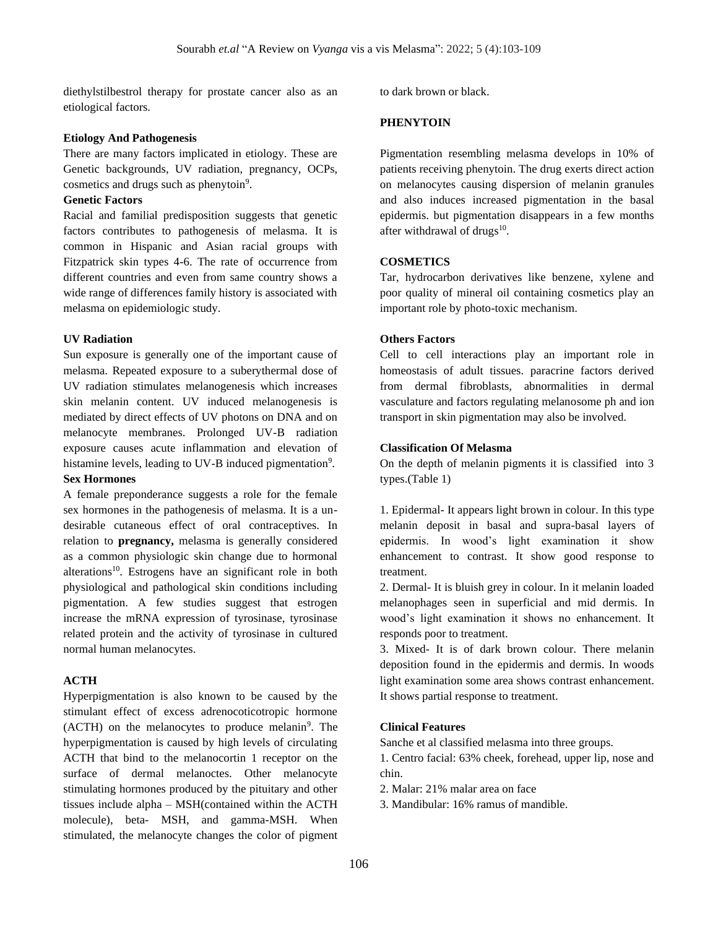diethylstilbestrol therapy for prostate cancer also as an etiological factors.

### **Etiology And Pathogenesis**

There are many factors implicated in etiology. These are Genetic backgrounds, UV radiation, pregnancy, OCPs, cosmetics and drugs such as phenytoin<sup>9</sup>.

## **Genetic Factors**

Racial and familial predisposition suggests that genetic factors contributes to pathogenesis of melasma. It is common in Hispanic and Asian racial groups with Fitzpatrick skin types 4-6. The rate of occurrence from different countries and even from same country shows a wide range of differences family history is associated with melasma on epidemiologic study.

#### **UV Radiation**

Sun exposure is generally one of the important cause of melasma. Repeated exposure to a suberythermal dose of UV radiation stimulates melanogenesis which increases skin melanin content. UV induced melanogenesis is mediated by direct effects of UV photons on DNA and on melanocyte membranes. Prolonged UV-B radiation exposure causes acute inflammation and elevation of histamine levels, leading to UV-B induced pigmentation<sup>9</sup>. **Sex Hormones**

A female preponderance suggests a role for the female sex hormones in the pathogenesis of melasma. It is a undesirable cutaneous effect of oral contraceptives. In relation to **pregnancy,** melasma is generally considered as a common physiologic skin change due to hormonal alterations<sup>10</sup>. Estrogens have an significant role in both physiological and pathological skin conditions including pigmentation. A few studies suggest that estrogen increase the mRNA expression of tyrosinase, tyrosinase related protein and the activity of tyrosinase in cultured normal human melanocytes.

### **ACTH**

Hyperpigmentation is also known to be caused by the stimulant effect of excess adrenocoticotropic hormone (ACTH) on the melanocytes to produce melanin<sup>9</sup>. The hyperpigmentation is caused by high levels of circulating ACTH that bind to the melanocortin 1 receptor on the surface of dermal melanoctes. Other melanocyte stimulating hormones produced by the pituitary and other tissues include alpha – MSH(contained within the ACTH molecule), beta- MSH, and gamma-MSH. When stimulated, the melanocyte changes the color of pigment

to dark brown or black.

# **PHENYTOIN**

Pigmentation resembling melasma develops in 10% of patients receiving phenytoin. The drug exerts direct action on melanocytes causing dispersion of melanin granules and also induces increased pigmentation in the basal epidermis. but pigmentation disappears in a few months after withdrawal of drugs<sup>10</sup>.

### **COSMETICS**

Tar, hydrocarbon derivatives like benzene, xylene and poor quality of mineral oil containing cosmetics play an important role by photo-toxic mechanism.

#### **Others Factors**

Cell to cell interactions play an important role in homeostasis of adult tissues. paracrine factors derived from dermal fibroblasts, abnormalities in dermal vasculature and factors regulating melanosome ph and ion transport in skin pigmentation may also be involved.

### **Classification Of Melasma**

On the depth of melanin pigments it is classified into 3 types.(Table 1)

1. Epidermal- It appears light brown in colour. In this type melanin deposit in basal and supra-basal layers of epidermis. In wood's light examination it show enhancement to contrast. It show good response to treatment.

2. Dermal- It is bluish grey in colour. In it melanin loaded melanophages seen in superficial and mid dermis. In wood's light examination it shows no enhancement. It responds poor to treatment.

3. Mixed- It is of dark brown colour. There melanin deposition found in the epidermis and dermis. In woods light examination some area shows contrast enhancement. It shows partial response to treatment.

### **Clinical Features**

Sanche et al classified melasma into three groups.

1. Centro facial: 63% cheek, forehead, upper lip, nose and chin.

2. Malar: 21% malar area on face

3. Mandibular: 16% ramus of mandible.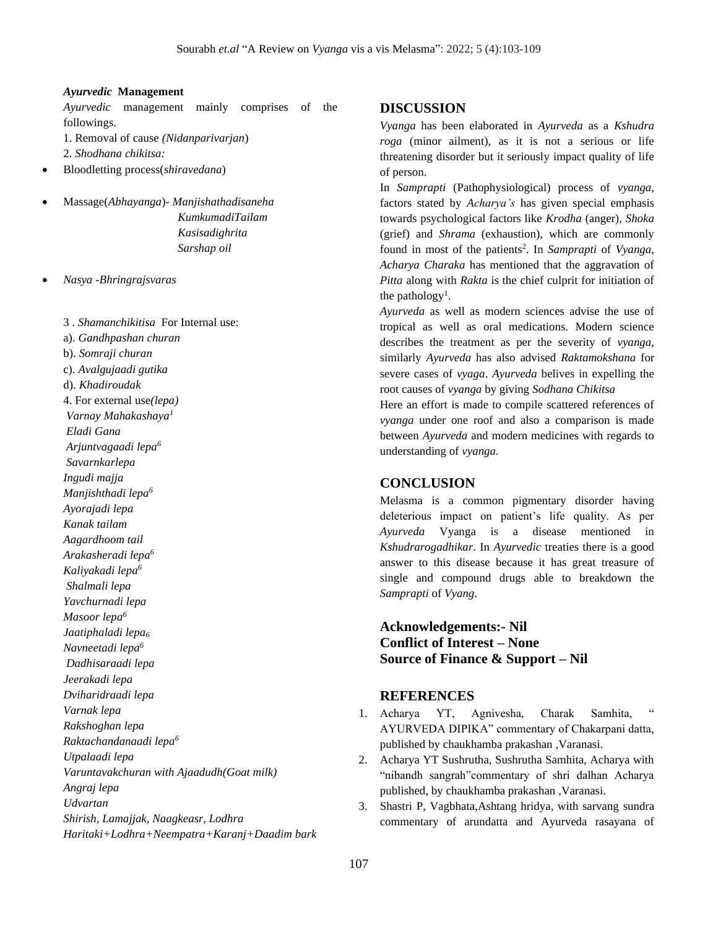#### *Ayurvedic* **Management**

*Ayurvedic* management mainly comprises of the followings.

1. Removal of cause *(Nidanparivarjan*)

2. *Shodhana chikitsa:*

- Bloodletting process(*shiravedana*)
- Massage(*Abhayanga*)- *Manjishathadisaneha KumkumadiTailam Kasisadighrita Sarshap oil*
- *Nasya -Bhringrajsvaras*

3 . *Shamanchikitisa* For Internal use: a). *Gandhpashan churan* b). *Somraji churan* c). *Avalgujaadi gutika* d). *Khadiroudak* 4. For external use*(lepa) Varnay Mahakashaya<sup>1</sup> Eladi Gana Arjuntvagaadi lepa<sup>6</sup> Savarnkarlepa Ingudi majja Manjishthadi lepa<sup>6</sup> Ayorajadi lepa Kanak tailam Aagardhoom tail Arakasheradi lepa<sup>6</sup> Kaliyakadi lepa<sup>6</sup> Shalmali lepa Yavchurnadi lepa Masoor lepa<sup>6</sup> Jaatiphaladi lepa<sup>6</sup> Navneetadi lepa<sup>6</sup> Dadhisaraadi lepa Jeerakadi lepa Dviharidraadi lepa Varnak lepa Rakshoghan lepa Raktachandanaadi lepa<sup>6</sup> Utpalaadi lepa Varuntavakchuran with Ajaadudh(Goat milk) Angraj lepa Udvartan Shirish, Lamajjak, Naagkeasr, Lodhra Haritaki+Lodhra+Neempatra+Karanj+Daadim bark*

# **DISCUSSION**

*Vyanga* has been elaborated in *Ayurveda* as a *Kshudra roga* (minor ailment), as it is not a serious or life threatening disorder but it seriously impact quality of life of person.

In *Samprapti* (Pathophysiological) process of *vyanga*, factors stated by *Acharya's* has given special emphasis towards psychological factors like *Krodha* (anger), *Shoka* (grief) and *Shrama* (exhaustion), which are commonly found in most of the patients<sup>2</sup>. In *Samprapti* of *Vyanga*, *Acharya Charaka* has mentioned that the aggravation of *Pitta* along with *Rakta* is the chief culprit for initiation of the pathology<sup>1</sup>.

*Ayurveda* as well as modern sciences advise the use of tropical as well as oral medications. Modern science describes the treatment as per the severity of *vyanga,* similarly *Ayurveda* has also advised *Raktamokshana* for severe cases of *vyaga*. *Ayurveda* belives in expelling the root causes of *vyanga* by giving *Sodhana Chikitsa*

Here an effort is made to compile scattered references of *vyanga* under one roof and also a comparison is made between *Ayurveda* and modern medicines with regards to understanding of *vyanga.*

# **CONCLUSION**

Melasma is a common pigmentary disorder having deleterious impact on patient's life quality. As per *Ayurveda* Vyanga is a disease mentioned in *Kshudrarogadhikar*. In *Ayurvedic* treaties there is a good answer to this disease because it has great treasure of single and compound drugs able to breakdown the *Samprapti* of *Vyang*.

**Acknowledgements:- Nil Conflict of Interest – None Source of Finance & Support – Nil**

# **REFERENCES**

- 1. Acharya YT, Agnivesha, Charak Samhita, AYURVEDA DIPIKA" commentary of Chakarpani datta, published by chaukhamba prakashan ,Varanasi.
- 2. Acharya YT Sushrutha, Sushrutha Samhita, Acharya with "nibandh sangrah"commentary of shri dalhan Acharya published, by chaukhamba prakashan ,Varanasi.
- 3. Shastri P, Vagbhata,Ashtang hridya, with sarvang sundra commentary of arundatta and Ayurveda rasayana of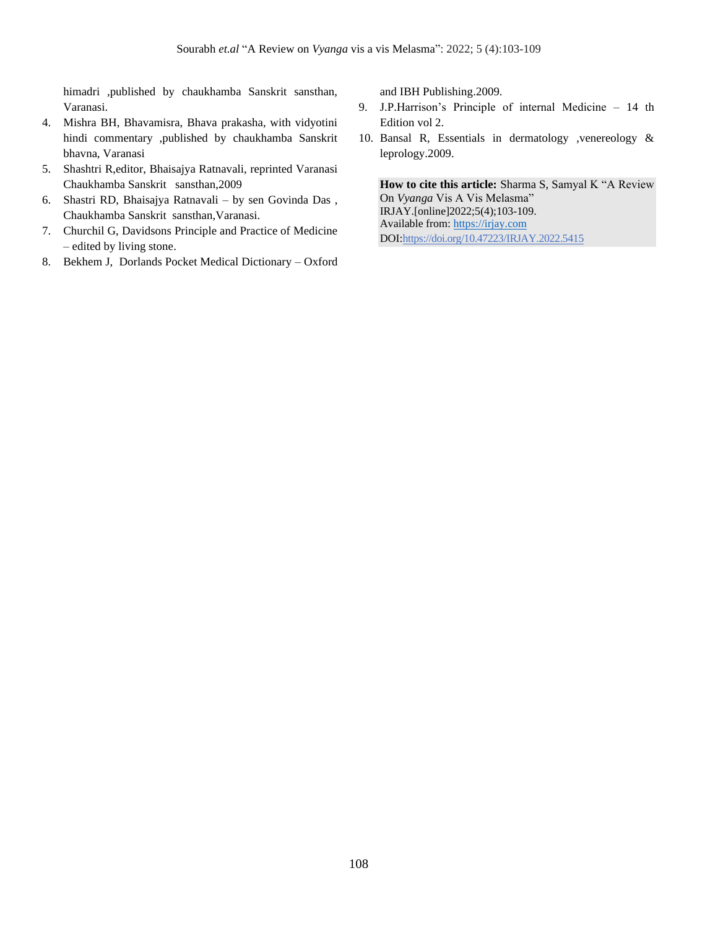himadri ,published by chaukhamba Sanskrit sansthan, Varanasi.

- 4. Mishra BH, Bhavamisra, Bhava prakasha, with vidyotini hindi commentary ,published by chaukhamba Sanskrit bhavna, Varanasi
- 5. Shashtri R,editor, Bhaisajya Ratnavali, reprinted Varanasi Chaukhamba Sanskrit sansthan,2009
- 6. Shastri RD, Bhaisajya Ratnavali by sen Govinda Das , Chaukhamba Sanskrit sansthan,Varanasi.
- 7. Churchil G, Davidsons Principle and Practice of Medicine – edited by living stone.
- 8. Bekhem J, Dorlands Pocket Medical Dictionary Oxford

and IBH Publishing.2009.

- 9. J.P.Harrison's Principle of internal Medicine 14 th Edition vol 2.
- 10. Bansal R, Essentials in dermatology ,venereology & leprology.2009.

**How to cite this article:** Sharma S, Samyal K "A Review On *Vyanga* Vis A Vis Melasma" IRJAY.[online]2022;5(4);103-109. Available from: [https://irjay.com](https://irjay.com/) DOI:https://doi.org/10.47223/IRJAY.2022.5415